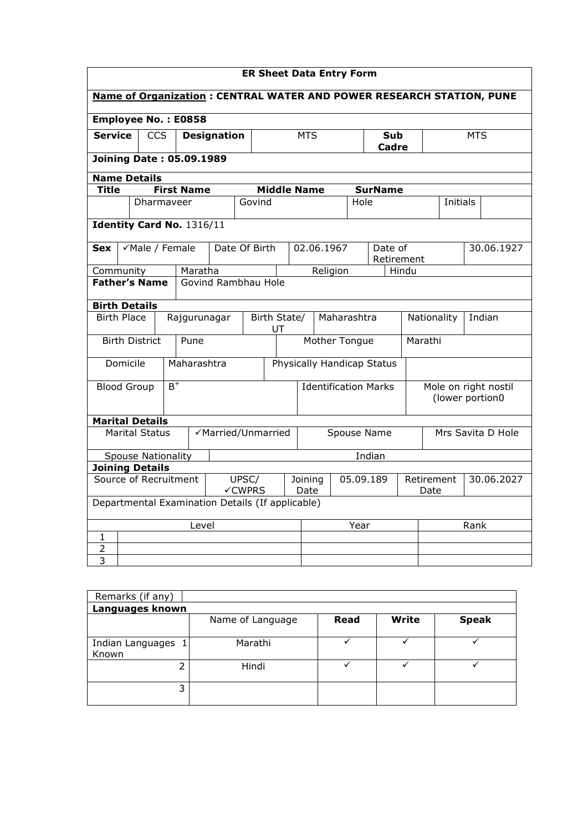| <b>ER Sheet Data Entry Form</b>                                       |                                                    |                       |                 |                                   |                                  |                              |  |                    |                                         |                    |                       |         |            |          |  |            |
|-----------------------------------------------------------------------|----------------------------------------------------|-----------------------|-----------------|-----------------------------------|----------------------------------|------------------------------|--|--------------------|-----------------------------------------|--------------------|-----------------------|---------|------------|----------|--|------------|
| Name of Organization : CENTRAL WATER AND POWER RESEARCH STATION, PUNE |                                                    |                       |                 |                                   |                                  |                              |  |                    |                                         |                    |                       |         |            |          |  |            |
|                                                                       |                                                    |                       |                 | <b>Employee No.: E0858</b>        |                                  |                              |  |                    |                                         |                    |                       |         |            |          |  |            |
|                                                                       | <b>Service</b><br><b>CCS</b><br><b>Designation</b> |                       |                 |                                   | <b>MTS</b>                       |                              |  |                    | Sub<br><b>Cadre</b>                     |                    | <b>MTS</b>            |         |            |          |  |            |
|                                                                       | <b>Joining Date: 05.09.1989</b>                    |                       |                 |                                   |                                  |                              |  |                    |                                         |                    |                       |         |            |          |  |            |
|                                                                       | <b>Name Details</b>                                |                       |                 |                                   |                                  |                              |  |                    |                                         |                    |                       |         |            |          |  |            |
| <b>Title</b>                                                          |                                                    |                       |                 | <b>First Name</b>                 |                                  |                              |  | <b>Middle Name</b> |                                         |                    | <b>SurName</b>        |         |            |          |  |            |
|                                                                       |                                                    | Dharmaveer            |                 |                                   |                                  | Govind                       |  |                    |                                         | Hole               |                       |         |            | Initials |  |            |
|                                                                       |                                                    |                       |                 | Identity Card No. 1316/11         |                                  |                              |  |                    |                                         |                    |                       |         |            |          |  |            |
| <b>Sex</b>                                                            |                                                    | √Male / Female        |                 |                                   |                                  | Date Of Birth                |  |                    | 02.06.1967                              |                    | Date of<br>Retirement |         |            |          |  | 30.06.1927 |
| Community                                                             |                                                    |                       |                 | Maratha                           |                                  |                              |  |                    | Religion                                |                    |                       | Hindu   |            |          |  |            |
|                                                                       | <b>Father's Name</b><br>Govind Rambhau Hole        |                       |                 |                                   |                                  |                              |  |                    |                                         |                    |                       |         |            |          |  |            |
| <b>Birth Details</b>                                                  |                                                    |                       |                 |                                   |                                  |                              |  |                    |                                         |                    |                       |         |            |          |  |            |
| <b>Birth Place</b><br>Rajgurunagar                                    |                                                    |                       |                 | Maharashtra<br>Birth State/<br>UT |                                  |                              |  |                    | Indian<br>Nationality                   |                    |                       |         |            |          |  |            |
|                                                                       |                                                    | <b>Birth District</b> |                 | Pune                              |                                  |                              |  | Mother Tongue      |                                         |                    |                       | Marathi |            |          |  |            |
|                                                                       | Domicile                                           |                       |                 | Maharashtra                       |                                  |                              |  |                    | Physically Handicap Status              |                    |                       |         |            |          |  |            |
| $B^+$<br><b>Blood Group</b>                                           |                                                    |                       |                 | <b>Identification Marks</b>       |                                  |                              |  |                    | Mole on right nostil<br>(lower portion0 |                    |                       |         |            |          |  |            |
| <b>Marital Details</b>                                                |                                                    |                       |                 |                                   |                                  |                              |  |                    |                                         |                    |                       |         |            |          |  |            |
| <b>Marital Status</b><br>√Married/Unmarried                           |                                                    |                       |                 |                                   | Mrs Savita D Hole<br>Spouse Name |                              |  |                    |                                         |                    |                       |         |            |          |  |            |
|                                                                       | Indian<br><b>Spouse Nationality</b>                |                       |                 |                                   |                                  |                              |  |                    |                                         |                    |                       |         |            |          |  |            |
| <b>Joining Details</b>                                                |                                                    |                       |                 |                                   |                                  |                              |  |                    |                                         |                    |                       |         |            |          |  |            |
| Source of Recruitment                                                 |                                                    |                       | UPSC/<br>√CWPRS |                                   |                                  | 05.09.189<br>Joining<br>Date |  |                    |                                         | Retirement<br>Date |                       |         | 30.06.2027 |          |  |            |
|                                                                       | Departmental Examination Details (If applicable)   |                       |                 |                                   |                                  |                              |  |                    |                                         |                    |                       |         |            |          |  |            |
| Level                                                                 |                                                    |                       |                 |                                   |                                  | Year                         |  |                    |                                         | Rank               |                       |         |            |          |  |            |
| 1                                                                     |                                                    |                       |                 |                                   |                                  |                              |  |                    |                                         |                    |                       |         |            |          |  |            |
| 2                                                                     |                                                    |                       |                 |                                   |                                  |                              |  |                    |                                         |                    |                       |         |            |          |  |            |
| 3                                                                     |                                                    |                       |                 |                                   |                                  |                              |  |                    |                                         |                    |                       |         |            |          |  |            |

| Remarks (if any)          |                  |      |       |              |  |  |  |  |  |
|---------------------------|------------------|------|-------|--------------|--|--|--|--|--|
| Languages known           |                  |      |       |              |  |  |  |  |  |
|                           | Name of Language | Read | Write | <b>Speak</b> |  |  |  |  |  |
| Indian Languages<br>Known | Marathi          |      |       |              |  |  |  |  |  |
| ∍                         | Hindi            |      |       |              |  |  |  |  |  |
| 3                         |                  |      |       |              |  |  |  |  |  |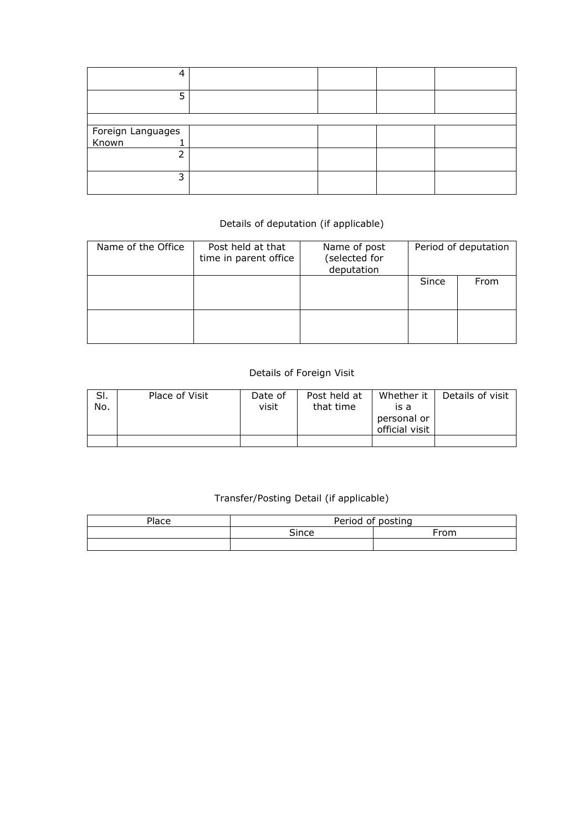| 4                            |  |  |
|------------------------------|--|--|
| 5                            |  |  |
|                              |  |  |
| Foreign Languages<br>Known 1 |  |  |
|                              |  |  |
| ∍<br>∠                       |  |  |
| っ                            |  |  |

## Details of deputation (if applicable)

| Name of the Office | Post held at that<br>time in parent office | Name of post<br>(selected for<br>deputation |       | Period of deputation |
|--------------------|--------------------------------------------|---------------------------------------------|-------|----------------------|
|                    |                                            |                                             | Since | From                 |
|                    |                                            |                                             |       |                      |

## Details of Foreign Visit

| SI.<br>No. | Place of Visit | Date of<br>visit | Post held at<br>that time | Whether it<br>is a<br>personal or<br>official visit | Details of visit |
|------------|----------------|------------------|---------------------------|-----------------------------------------------------|------------------|
|            |                |                  |                           |                                                     |                  |

## Transfer/Posting Detail (if applicable)

| Place | Period of posting |      |  |  |  |
|-------|-------------------|------|--|--|--|
|       | Since             | -rom |  |  |  |
|       |                   |      |  |  |  |